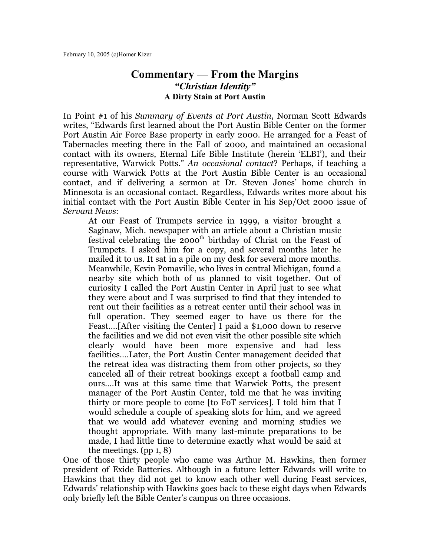## **Commentary** — **From the Margins** *"Christian Identity"* **A Dirty Stain at Port Austin**

In Point #1 of his *Summary of Events at Port Austin*, Norman Scott Edwards writes, "Edwards first learned about the Port Austin Bible Center on the former Port Austin Air Force Base property in early 2000. He arranged for a Feast of Tabernacles meeting there in the Fall of 2000, and maintained an occasional contact with its owners, Eternal Life Bible Institute (herein 'ELBI'), and their representative, Warwick Potts." *An occasional contact*? Perhaps, if teaching a course with Warwick Potts at the Port Austin Bible Center is an occasional contact, and if delivering a sermon at Dr. Steven Jones' home church in Minnesota is an occasional contact. Regardless, Edwards writes more about his initial contact with the Port Austin Bible Center in his Sep/Oct 2000 issue of *Servant News*:

At our Feast of Trumpets service in 1999, a visitor brought a Saginaw, Mich. newspaper with an article about a Christian music festival celebrating the  $2000^{\text{th}}$  birthday of Christ on the Feast of Trumpets. I asked him for a copy, and several months later he mailed it to us. It sat in a pile on my desk for several more months. Meanwhile, Kevin Pomaville, who lives in central Michigan, found a nearby site which both of us planned to visit together. Out of curiosity I called the Port Austin Center in April just to see what they were about and I was surprised to find that they intended to rent out their facilities as a retreat center until their school was in full operation. They seemed eager to have us there for the Feast.…[After visiting the Center] I paid a \$1,000 down to reserve the facilities and we did not even visit the other possible site which clearly would have been more expensive and had less facilities.…Later, the Port Austin Center management decided that the retreat idea was distracting them from other projects, so they canceled all of their retreat bookings except a football camp and ours.…It was at this same time that Warwick Potts, the present manager of the Port Austin Center, told me that he was inviting thirty or more people to come [to FoT services]. I told him that I would schedule a couple of speaking slots for him, and we agreed that we would add whatever evening and morning studies we thought appropriate. With many last-minute preparations to be made, I had little time to determine exactly what would be said at the meetings. (pp 1, 8)

One of those thirty people who came was Arthur M. Hawkins, then former president of Exide Batteries. Although in a future letter Edwards will write to Hawkins that they did not get to know each other well during Feast services, Edwards' relationship with Hawkins goes back to these eight days when Edwards only briefly left the Bible Center's campus on three occasions.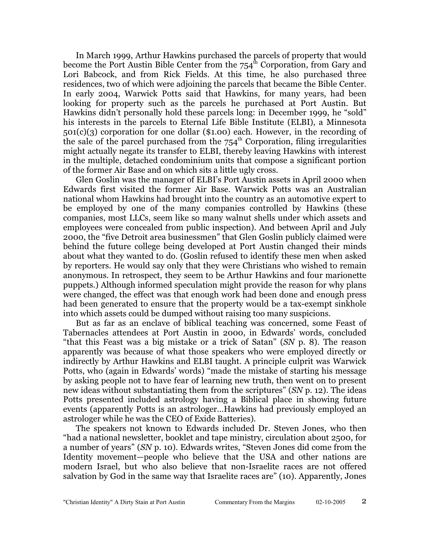In March 1999, Arthur Hawkins purchased the parcels of property that would become the Port Austin Bible Center from the  $754^{\text{th}}$  Corporation, from Gary and Lori Babcock, and from Rick Fields. At this time, he also purchased three residences, two of which were adjoining the parcels that became the Bible Center. In early 2004, Warwick Potts said that Hawkins, for many years, had been looking for property such as the parcels he purchased at Port Austin. But Hawkins didn't personally hold these parcels long: in December 1999, he "sold" his interests in the parcels to Eternal Life Bible Institute (ELBI), a Minnesota 501(c)(3) corporation for one dollar (\$1.00) each. However, in the recording of the sale of the parcel purchased from the  $754<sup>th</sup>$  Corporation, filing irregularities might actually negate its transfer to ELBI, thereby leaving Hawkins with interest in the multiple, detached condominium units that compose a significant portion of the former Air Base and on which sits a little ugly cross.

Glen Goslin was the manager of ELBI's Port Austin assets in April 2000 when Edwards first visited the former Air Base. Warwick Potts was an Australian national whom Hawkins had brought into the country as an automotive expert to be employed by one of the many companies controlled by Hawkins (these companies, most LLCs, seem like so many walnut shells under which assets and employees were concealed from public inspection). And between April and July 2000, the "five Detroit area businessmen" that Glen Goslin publicly claimed were behind the future college being developed at Port Austin changed their minds about what they wanted to do. (Goslin refused to identify these men when asked by reporters. He would say only that they were Christians who wished to remain anonymous. In retrospect, they seem to be Arthur Hawkins and four marionette puppets.) Although informed speculation might provide the reason for why plans were changed, the effect was that enough work had been done and enough press had been generated to ensure that the property would be a tax-exempt sinkhole into which assets could be dumped without raising too many suspicions.

But as far as an enclave of biblical teaching was concerned, some Feast of Tabernacles attendees at Port Austin in 2000, in Edwards' words, concluded "that this Feast was a big mistake or a trick of Satan" (*SN* p. 8). The reason apparently was because of what those speakers who were employed directly or indirectly by Arthur Hawkins and ELBI taught. A principle culprit was Warwick Potts, who (again in Edwards' words) "made the mistake of starting his message by asking people not to have fear of learning new truth, then went on to present new ideas without substantiating them from the scriptures" (*SN* p. 12). The ideas Potts presented included astrology having a Biblical place in showing future events (apparently Potts is an astrologer…Hawkins had previously employed an astrologer while he was the CEO of Exide Batteries).

The speakers not known to Edwards included Dr. Steven Jones, who then "had a national newsletter, booklet and tape ministry, circulation about 2500, for a number of years" (*SN* p. 10). Edwards writes, "Steven Jones did come from the Identity movement—people who believe that the USA and other nations are modern Israel, but who also believe that non-Israelite races are not offered salvation by God in the same way that Israelite races are" (10). Apparently, Jones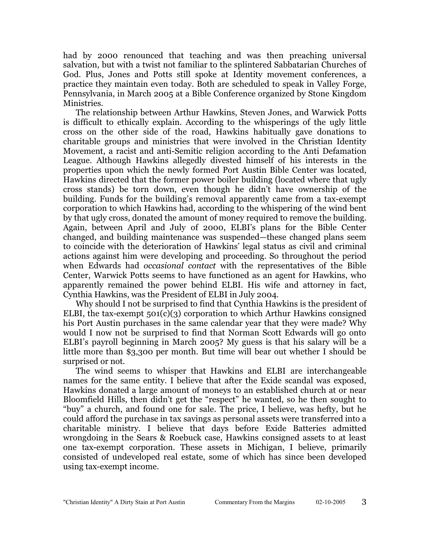had by 2000 renounced that teaching and was then preaching universal salvation, but with a twist not familiar to the splintered Sabbatarian Churches of God. Plus, Jones and Potts still spoke at Identity movement conferences, a practice they maintain even today. Both are scheduled to speak in Valley Forge, Pennsylvania, in March 2005 at a Bible Conference organized by Stone Kingdom Ministries.

The relationship between Arthur Hawkins, Steven Jones, and Warwick Potts is difficult to ethically explain. According to the whisperings of the ugly little cross on the other side of the road, Hawkins habitually gave donations to charitable groups and ministries that were involved in the Christian Identity Movement, a racist and anti-Semitic religion according to the Anti Defamation League. Although Hawkins allegedly divested himself of his interests in the properties upon which the newly formed Port Austin Bible Center was located, Hawkins directed that the former power boiler building (located where that ugly cross stands) be torn down, even though he didn't have ownership of the building. Funds for the building's removal apparently came from a tax-exempt corporation to which Hawkins had, according to the whispering of the wind bent by that ugly cross, donated the amount of money required to remove the building. Again, between April and July of 2000, ELBI's plans for the Bible Center changed, and building maintenance was suspended—these changed plans seem to coincide with the deterioration of Hawkins' legal status as civil and criminal actions against him were developing and proceeding. So throughout the period when Edwards had *occasional contact* with the representatives of the Bible Center, Warwick Potts seems to have functioned as an agent for Hawkins, who apparently remained the power behind ELBI. His wife and attorney in fact, Cynthia Hawkins, was the President of ELBI in July 2004.

Why should I not be surprised to find that Cynthia Hawkins is the president of ELBI, the tax-exempt  $501(c)(3)$  corporation to which Arthur Hawkins consigned his Port Austin purchases in the same calendar year that they were made? Why would I now not be surprised to find that Norman Scott Edwards will go onto ELBI's payroll beginning in March 2005? My guess is that his salary will be a little more than \$3,300 per month. But time will bear out whether I should be surprised or not.

The wind seems to whisper that Hawkins and ELBI are interchangeable names for the same entity. I believe that after the Exide scandal was exposed, Hawkins donated a large amount of moneys to an established church at or near Bloomfield Hills, then didn't get the "respect" he wanted, so he then sought to "buy" a church, and found one for sale. The price, I believe, was hefty, but he could afford the purchase in tax savings as personal assets were transferred into a charitable ministry. I believe that days before Exide Batteries admitted wrongdoing in the Sears & Roebuck case, Hawkins consigned assets to at least one tax-exempt corporation. These assets in Michigan, I believe, primarily consisted of undeveloped real estate, some of which has since been developed using tax-exempt income.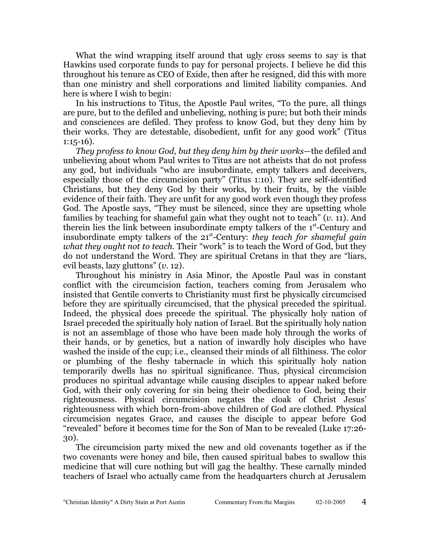What the wind wrapping itself around that ugly cross seems to say is that Hawkins used corporate funds to pay for personal projects. I believe he did this throughout his tenure as CEO of Exide, then after he resigned, did this with more than one ministry and shell corporations and limited liability companies. And here is where I wish to begin:

In his instructions to Titus, the Apostle Paul writes, "To the pure, all things are pure, but to the defiled and unbelieving, nothing is pure; but both their minds and consciences are defiled. They profess to know God, but they deny him by their works. They are detestable, disobedient, unfit for any good work" (Titus  $1:15-16$ ).

*They profess to know God, but they deny him by their works*—the defiled and unbelieving about whom Paul writes to Titus are not atheists that do not profess any god, but individuals "who are insubordinate, empty talkers and deceivers, especially those of the circumcision party" (Titus 1:10). They are self-identified Christians, but they deny God by their works, by their fruits, by the visible evidence of their faith. They are unfit for any good work even though they profess God. The Apostle says, "They must be silenced, since they are upsetting whole families by teaching for shameful gain what they ought not to teach" (*v.* 11). And therein lies the link between insubordinate empty talkers of the 1<sup>st</sup>-Century and insubordinate empty talkers of the 21<sup>st</sup>-Century: *they teach for shameful gain what they ought not to teach*. Their "work" is to teach the Word of God, but they do not understand the Word. They are spiritual Cretans in that they are "liars, evil beasts, lazy gluttons" (*v.* 12).

Throughout his ministry in Asia Minor, the Apostle Paul was in constant conflict with the circumcision faction, teachers coming from Jerusalem who insisted that Gentile converts to Christianity must first be physically circumcised before they are spiritually circumcised, that the physical preceded the spiritual. Indeed, the physical does precede the spiritual. The physically holy nation of Israel preceded the spiritually holy nation of Israel. But the spiritually holy nation is not an assemblage of those who have been made holy through the works of their hands, or by genetics, but a nation of inwardly holy disciples who have washed the inside of the cup; i.e., cleansed their minds of all filthiness. The color or plumbing of the fleshy tabernacle in which this spiritually holy nation temporarily dwells has no spiritual significance. Thus, physical circumcision produces no spiritual advantage while causing disciples to appear naked before God, with their only covering for sin being their obedience to God, being their righteousness. Physical circumcision negates the cloak of Christ Jesus' righteousness with which born-from-above children of God are clothed. Physical circumcision negates Grace, and causes the disciple to appear before God "revealed" before it becomes time for the Son of Man to be revealed (Luke 17:26- 30).

The circumcision party mixed the new and old covenants together as if the two covenants were honey and bile, then caused spiritual babes to swallow this medicine that will cure nothing but will gag the healthy. These carnally minded teachers of Israel who actually came from the headquarters church at Jerusalem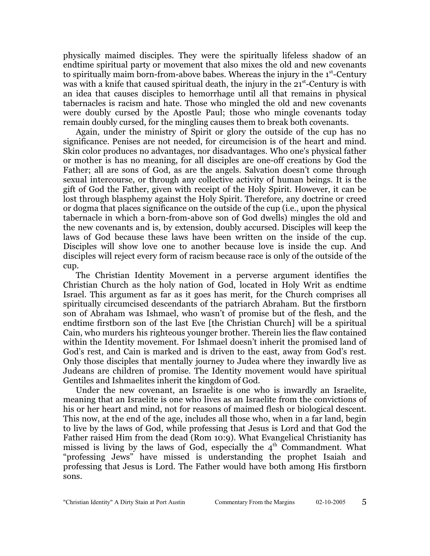physically maimed disciples. They were the spiritually lifeless shadow of an endtime spiritual party or movement that also mixes the old and new covenants to spiritually maim born-from-above babes. Whereas the injury in the 1<sup>st</sup>-Century was with a knife that caused spiritual death, the injury in the 21<sup>st</sup>-Century is with an idea that causes disciples to hemorrhage until all that remains in physical tabernacles is racism and hate. Those who mingled the old and new covenants were doubly cursed by the Apostle Paul; those who mingle covenants today remain doubly cursed, for the mingling causes them to break both covenants.

Again, under the ministry of Spirit or glory the outside of the cup has no significance. Penises are not needed, for circumcision is of the heart and mind. Skin color produces no advantages, nor disadvantages. Who one's physical father or mother is has no meaning, for all disciples are one-off creations by God the Father; all are sons of God, as are the angels. Salvation doesn't come through sexual intercourse, or through any collective activity of human beings. It is the gift of God the Father, given with receipt of the Holy Spirit. However, it can be lost through blasphemy against the Holy Spirit. Therefore, any doctrine or creed or dogma that places significance on the outside of the cup (i.e., upon the physical tabernacle in which a born-from-above son of God dwells) mingles the old and the new covenants and is, by extension, doubly accursed. Disciples will keep the laws of God because these laws have been written on the inside of the cup. Disciples will show love one to another because love is inside the cup. And disciples will reject every form of racism because race is only of the outside of the cup.

The Christian Identity Movement in a perverse argument identifies the Christian Church as the holy nation of God, located in Holy Writ as endtime Israel. This argument as far as it goes has merit, for the Church comprises all spiritually circumcised descendants of the patriarch Abraham. But the firstborn son of Abraham was Ishmael, who wasn't of promise but of the flesh, and the endtime firstborn son of the last Eve [the Christian Church] will be a spiritual Cain, who murders his righteous younger brother. Therein lies the flaw contained within the Identity movement. For Ishmael doesn't inherit the promised land of God's rest, and Cain is marked and is driven to the east, away from God's rest. Only those disciples that mentally journey to Judea where they inwardly live as Judeans are children of promise. The Identity movement would have spiritual Gentiles and Ishmaelites inherit the kingdom of God.

Under the new covenant, an Israelite is one who is inwardly an Israelite, meaning that an Israelite is one who lives as an Israelite from the convictions of his or her heart and mind, not for reasons of maimed flesh or biological descent. This now, at the end of the age, includes all those who, when in a far land, begin to live by the laws of God, while professing that Jesus is Lord and that God the Father raised Him from the dead (Rom 10:9). What Evangelical Christianity has missed is living by the laws of God, especially the  $4^{\text{th}}$  Commandment. What "professing Jews" have missed is understanding the prophet Isaiah and professing that Jesus is Lord. The Father would have both among His firstborn sons.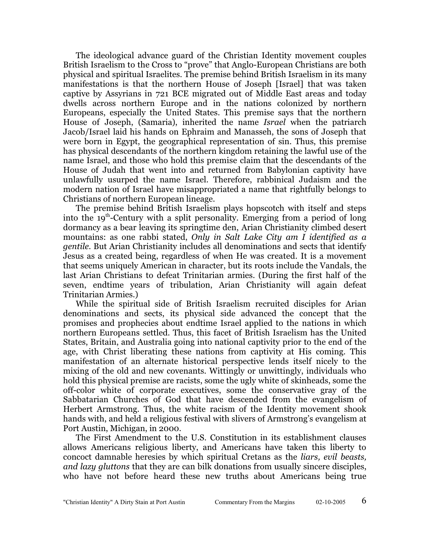The ideological advance guard of the Christian Identity movement couples British Israelism to the Cross to "prove" that Anglo-European Christians are both physical and spiritual Israelites. The premise behind British Israelism in its many manifestations is that the northern House of Joseph [Israel] that was taken captive by Assyrians in 721 BCE migrated out of Middle East areas and today dwells across northern Europe and in the nations colonized by northern Europeans, especially the United States. This premise says that the northern House of Joseph, (Samaria), inherited the name *Israel* when the patriarch Jacob/Israel laid his hands on Ephraim and Manasseh, the sons of Joseph that were born in Egypt, the geographical representation of sin. Thus, this premise has physical descendants of the northern kingdom retaining the lawful use of the name Israel, and those who hold this premise claim that the descendants of the House of Judah that went into and returned from Babylonian captivity have unlawfully usurped the name Israel. Therefore, rabbinical Judaism and the modern nation of Israel have misappropriated a name that rightfully belongs to Christians of northern European lineage.

The premise behind British Israelism plays hopscotch with itself and steps into the 19<sup>th</sup>-Century with a split personality. Emerging from a period of long dormancy as a bear leaving its springtime den, Arian Christianity climbed desert mountains: as one rabbi stated, *Only in Salt Lake City am I identified as a gentile*. But Arian Christianity includes all denominations and sects that identify Jesus as a created being, regardless of when He was created. It is a movement that seems uniquely American in character, but its roots include the Vandals, the last Arian Christians to defeat Trinitarian armies. (During the first half of the seven, endtime years of tribulation, Arian Christianity will again defeat Trinitarian Armies.)

While the spiritual side of British Israelism recruited disciples for Arian denominations and sects, its physical side advanced the concept that the promises and prophecies about endtime Israel applied to the nations in which northern Europeans settled. Thus, this facet of British Israelism has the United States, Britain, and Australia going into national captivity prior to the end of the age, with Christ liberating these nations from captivity at His coming. This manifestation of an alternate historical perspective lends itself nicely to the mixing of the old and new covenants. Wittingly or unwittingly, individuals who hold this physical premise are racists, some the ugly white of skinheads, some the off-color white of corporate executives, some the conservative gray of the Sabbatarian Churches of God that have descended from the evangelism of Herbert Armstrong. Thus, the white racism of the Identity movement shook hands with, and held a religious festival with slivers of Armstrong's evangelism at Port Austin, Michigan, in 2000.

The First Amendment to the U.S. Constitution in its establishment clauses allows Americans religious liberty, and Americans have taken this liberty to concoct damnable heresies by which spiritual Cretans as the *liars, evil beasts, and lazy gluttons* that they are can bilk donations from usually sincere disciples, who have not before heard these new truths about Americans being true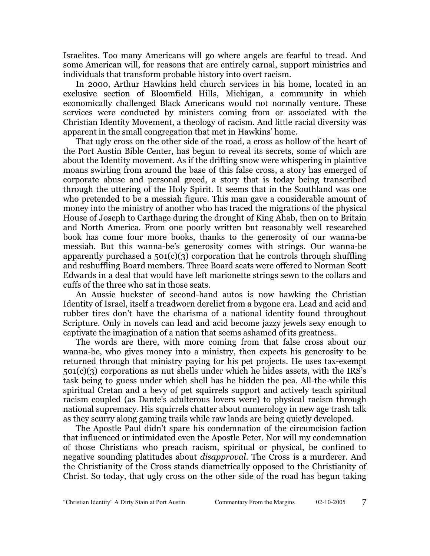Israelites. Too many Americans will go where angels are fearful to tread. And some American will, for reasons that are entirely carnal, support ministries and individuals that transform probable history into overt racism.

In 2000, Arthur Hawkins held church services in his home, located in an exclusive section of Bloomfield Hills, Michigan, a community in which economically challenged Black Americans would not normally venture. These services were conducted by ministers coming from or associated with the Christian Identity Movement, a theology of racism. And little racial diversity was apparent in the small congregation that met in Hawkins' home.

That ugly cross on the other side of the road, a cross as hollow of the heart of the Port Austin Bible Center, has begun to reveal its secrets, some of which are about the Identity movement. As if the drifting snow were whispering in plaintive moans swirling from around the base of this false cross, a story has emerged of corporate abuse and personal greed, a story that is today being transcribed through the uttering of the Holy Spirit. It seems that in the Southland was one who pretended to be a messiah figure. This man gave a considerable amount of money into the ministry of another who has traced the migrations of the physical House of Joseph to Carthage during the drought of King Ahab, then on to Britain and North America. From one poorly written but reasonably well researched book has come four more books, thanks to the generosity of our wanna-be messiah. But this wanna-be's generosity comes with strings. Our wanna-be apparently purchased a  $501(c)(3)$  corporation that he controls through shuffling and reshuffling Board members. Three Board seats were offered to Norman Scott Edwards in a deal that would have left marionette strings sewn to the collars and cuffs of the three who sat in those seats.

An Aussie huckster of second-hand autos is now hawking the Christian Identity of Israel, itself a treadworn derelict from a bygone era. Lead and acid and rubber tires don't have the charisma of a national identity found throughout Scripture. Only in novels can lead and acid become jazzy jewels sexy enough to captivate the imagination of a nation that seems ashamed of its greatness.

The words are there, with more coming from that false cross about our wanna-be, who gives money into a ministry, then expects his generosity to be returned through that ministry paying for his pet projects. He uses tax-exempt 501(c)(3) corporations as nut shells under which he hides assets, with the IRS's task being to guess under which shell has he hidden the pea. All-the-while this spiritual Cretan and a bevy of pet squirrels support and actively teach spiritual racism coupled (as Dante's adulterous lovers were) to physical racism through national supremacy. His squirrels chatter about numerology in new age trash talk as they scurry along gaming trails while raw lands are being quietly developed.

The Apostle Paul didn't spare his condemnation of the circumcision faction that influenced or intimidated even the Apostle Peter. Nor will my condemnation of those Christians who preach racism, spiritual or physical, be confined to negative sounding platitudes about *disapproval*. The Cross is a murderer. And the Christianity of the Cross stands diametrically opposed to the Christianity of Christ. So today, that ugly cross on the other side of the road has begun taking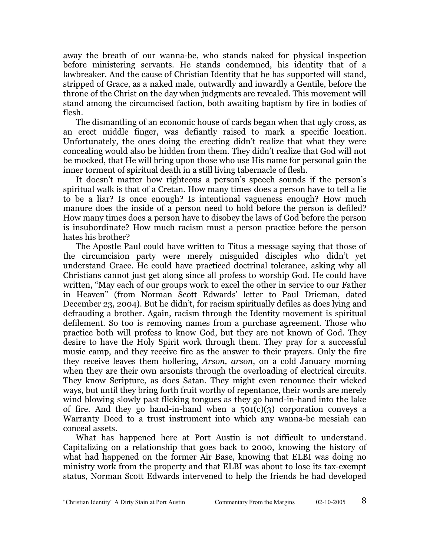away the breath of our wanna-be, who stands naked for physical inspection before ministering servants. He stands condemned, his identity that of a lawbreaker. And the cause of Christian Identity that he has supported will stand, stripped of Grace, as a naked male, outwardly and inwardly a Gentile, before the throne of the Christ on the day when judgments are revealed. This movement will stand among the circumcised faction, both awaiting baptism by fire in bodies of flesh.

The dismantling of an economic house of cards began when that ugly cross, as an erect middle finger, was defiantly raised to mark a specific location. Unfortunately, the ones doing the erecting didn't realize that what they were concealing would also be hidden from them. They didn't realize that God will not be mocked, that He will bring upon those who use His name for personal gain the inner torment of spiritual death in a still living tabernacle of flesh.

It doesn't matter how righteous a person's speech sounds if the person's spiritual walk is that of a Cretan. How many times does a person have to tell a lie to be a liar? Is once enough? Is intentional vagueness enough? How much manure does the inside of a person need to hold before the person is defiled? How many times does a person have to disobey the laws of God before the person is insubordinate? How much racism must a person practice before the person hates his brother?

The Apostle Paul could have written to Titus a message saying that those of the circumcision party were merely misguided disciples who didn't yet understand Grace. He could have practiced doctrinal tolerance, asking why all Christians cannot just get along since all profess to worship God. He could have written, "May each of our groups work to excel the other in service to our Father in Heaven" (from Norman Scott Edwards' letter to Paul Drieman, dated December 23, 2004). But he didn't, for racism spiritually defiles as does lying and defrauding a brother. Again, racism through the Identity movement is spiritual defilement. So too is removing names from a purchase agreement. Those who practice both will profess to know God, but they are not known of God. They desire to have the Holy Spirit work through them. They pray for a successful music camp, and they receive fire as the answer to their prayers. Only the fire they receive leaves them hollering, *Arson, arson*, on a cold January morning when they are their own arsonists through the overloading of electrical circuits. They know Scripture, as does Satan. They might even renounce their wicked ways, but until they bring forth fruit worthy of repentance, their words are merely wind blowing slowly past flicking tongues as they go hand-in-hand into the lake of fire. And they go hand-in-hand when a  $501(c)(3)$  corporation conveys a Warranty Deed to a trust instrument into which any wanna-be messiah can conceal assets.

What has happened here at Port Austin is not difficult to understand. Capitalizing on a relationship that goes back to 2000, knowing the history of what had happened on the former Air Base, knowing that ELBI was doing no ministry work from the property and that ELBI was about to lose its tax-exempt status, Norman Scott Edwards intervened to help the friends he had developed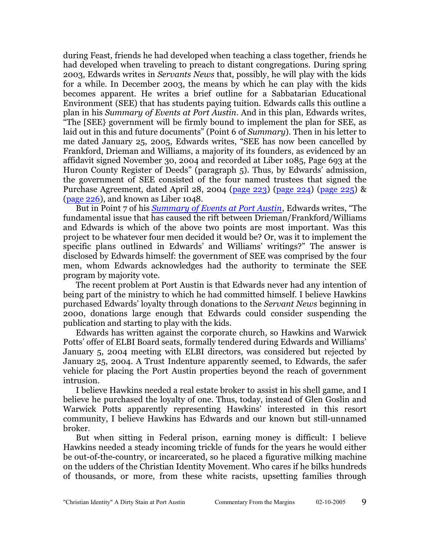during Feast, friends he had developed when teaching a class together, friends he had developed when traveling to preach to distant congregations. During spring 2003, Edwards writes in *Servants News* that, possibly, he will play with the kids for a while. In December 2003, the means by which he can play with the kids becomes apparent. He writes a brief outline for a Sabbatarian Educational Environment (SEE) that has students paying tuition. Edwards calls this outline a plan in his *Summary of Events at Port Austin*. And in this plan, Edwards writes, "The [SEE} government will be firmly bound to implement the plan for SEE, as laid out in this and future documents" (Point 6 of *Summary*). Then in his letter to me dated January 25, 2005, Edwards writes, "SEE has now been cancelled by Frankford, Drieman and Williams, a majority of its founders, as evidenced by an affidavit signed November 30, 2004 and recorded at Liber 1085, Page 693 at the Huron County Register of Deeds" (paragraph 5). Thus, by Edwards' admission, the government of SEE consisted of the four named trustees that signed the Purchase Agreement, dated April 28, 2004 [\(page 223](http://homerkizer.org/ALC%201048-223.pdf)) [\(page 224](http://homerkizer.org/ALC%201048-224.pdf)) ([page 225](http://homerkizer.org/ALC%201048-225.pdf)) & [\(page 226](http://homerkizer.org/ALC%201048-226.pdf)), and known as Liber 1048.

But in Point 7 of his *[Summary of Events at Port Austin](http://homerkizer.org/SummaryofEventsatPortAustin.pdf)*, Edwards writes, "The fundamental issue that has caused the rift between Drieman/Frankford/Williams and Edwards is which of the above two points are most important. Was this project to be whatever four men decided it would be? Or, was it to implement the specific plans outlined in Edwards' and Williams' writings?" The answer is disclosed by Edwards himself: the government of SEE was comprised by the four men, whom Edwards acknowledges had the authority to terminate the SEE program by majority vote.

The recent problem at Port Austin is that Edwards never had any intention of being part of the ministry to which he had committed himself. I believe Hawkins purchased Edwards' loyalty through donations to the *Servant News* beginning in 2000, donations large enough that Edwards could consider suspending the publication and starting to play with the kids.

Edwards has written against the corporate church, so Hawkins and Warwick Potts' offer of ELBI Board seats, formally tendered during Edwards and Williams' January 5, 2004 meeting with ELBI directors, was considered but rejected by January 25, 2004. A Trust Indenture apparently seemed, to Edwards, the safer vehicle for placing the Port Austin properties beyond the reach of government intrusion.

I believe Hawkins needed a real estate broker to assist in his shell game, and I believe he purchased the loyalty of one. Thus, today, instead of Glen Goslin and Warwick Potts apparently representing Hawkins' interested in this resort community, I believe Hawkins has Edwards and our known but still-unnamed broker.

But when sitting in Federal prison, earning money is difficult: I believe Hawkins needed a steady incoming trickle of funds for the years he would either be out-of-the-country, or incarcerated, so he placed a figurative milking machine on the udders of the Christian Identity Movement. Who cares if he bilks hundreds of thousands, or more, from these white racists, upsetting families through